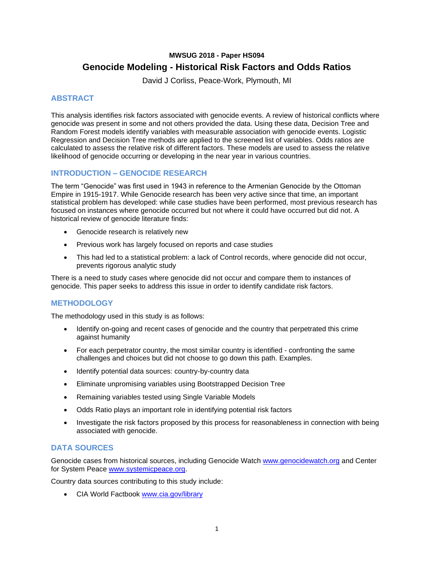# **MWSUG 2018 - Paper HS094 Genocide Modeling - Historical Risk Factors and Odds Ratios**

David J Corliss, Peace-Work, Plymouth, MI

## **ABSTRACT**

This analysis identifies risk factors associated with genocide events. A review of historical conflicts where genocide was present in some and not others provided the data. Using these data, Decision Tree and Random Forest models identify variables with measurable association with genocide events. Logistic Regression and Decision Tree methods are applied to the screened list of variables. Odds ratios are calculated to assess the relative risk of different factors. These models are used to assess the relative likelihood of genocide occurring or developing in the near year in various countries.

## **INTRODUCTION – GENOCIDE RESEARCH**

The term "Genocide" was first used in 1943 in reference to the Armenian Genocide by the Ottoman Empire in 1915-1917. While Genocide research has been very active since that time, an important statistical problem has developed: while case studies have been performed, most previous research has focused on instances where genocide occurred but not where it could have occurred but did not. A historical review of genocide literature finds:

- Genocide research is relatively new
- Previous work has largely focused on reports and case studies
- This had led to a statistical problem: a lack of Control records, where genocide did not occur, prevents rigorous analytic study

There is a need to study cases where genocide did not occur and compare them to instances of genocide. This paper seeks to address this issue in order to identify candidate risk factors.

### **METHODOLOGY**

The methodology used in this study is as follows:

- Identify on-going and recent cases of genocide and the country that perpetrated this crime against humanity
- For each perpetrator country, the most similar country is identified confronting the same challenges and choices but did not choose to go down this path. Examples.
- Identify potential data sources: country-by-country data
- Eliminate unpromising variables using Bootstrapped Decision Tree
- Remaining variables tested using Single Variable Models
- Odds Ratio plays an important role in identifying potential risk factors
- Investigate the risk factors proposed by this process for reasonableness in connection with being associated with genocide.

### **DATA SOURCES**

Genocide cases from historical sources, including Genocide Watch [www.genocidewatch.org](http://www.genocidewatch.org/) and Center for System Peace [www.systemicpeace.org.](http://www.systemicpeace.org/)

Country data sources contributing to this study include:

• CIA World Factbook [www.cia.gov/library](http://www.cia.gov/library)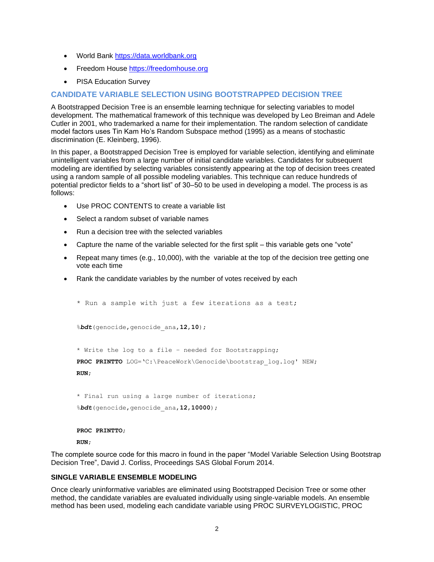- World Bank [https://data.worldbank.org](https://data.worldbank.org/)
- Freedom House [https://freedomhouse.org](https://freedomhouse.org/)
- PISA Education Survey

### **CANDIDATE VARIABLE SELECTION USING BOOTSTRAPPED DECISION TREE**

A Bootstrapped Decision Tree is an ensemble learning technique for selecting variables to model development. The mathematical framework of this technique was developed by Leo Breiman and Adele Cutler in 2001, who trademarked a name for their implementation. The random selection of candidate model factors uses Tin Kam Ho's Random Subspace method (1995) as a means of stochastic discrimination (E. Kleinberg, 1996).

In this paper, a Bootstrapped Decision Tree is employed for variable selection, identifying and eliminate unintelligent variables from a large number of initial candidate variables. Candidates for subsequent modeling are identified by selecting variables consistently appearing at the top of decision trees created using a random sample of all possible modeling variables. This technique can reduce hundreds of potential predictor fields to a "short list" of 30–50 to be used in developing a model. The process is as follows:

- Use PROC CONTENTS to create a variable list
- Select a random subset of variable names
- Run a decision tree with the selected variables
- Capture the name of the variable selected for the first split this variable gets one "vote"
- Repeat many times (e.g., 10,000), with the variable at the top of the decision tree getting one vote each time
- Rank the candidate variables by the number of votes received by each

```
* Run a sample with just a few iterations as a test; 
%bdt(genocide,genocide_ana,12,10); 
* Write the log to a file – needed for Bootstrapping; 
PROC PRINTTO LOG='C:\PeaceWork\Genocide\bootstrap_log.log' NEW;
RUN;
* Final run using a large number of iterations; 
%bdt(genocide,genocide_ana,12,10000);
```
#### **PROC PRINTTO**;

#### **RUN**;

The complete source code for this macro in found in the paper "Model Variable Selection Using Bootstrap Decision Tree", David J. Corliss, Proceedings SAS Global Forum 2014.

#### **SINGLE VARIABLE ENSEMBLE MODELING**

Once clearly uninformative variables are eliminated using Bootstrapped Decision Tree or some other method, the candidate variables are evaluated individually using single-variable models. An ensemble method has been used, modeling each candidate variable using PROC SURVEYLOGISTIC, PROC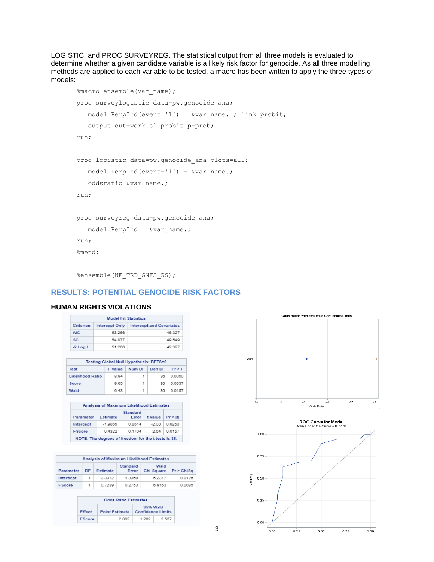LOGISTIC, and PROC SURVEYREG. The statistical output from all three models is evaluated to determine whether a given candidate variable is a likely risk factor for genocide. As all three modelling methods are applied to each variable to be tested, a macro has been written to apply the three types of models:

```
%macro ensemble(var name);
proc surveylogistic data=pw.genocide ana;
  model PerpInd(event='1') = \&var name. / link=probit;
    output out=work.sl_probit p=prob;
run;
proc logistic data=pw.genocide_ana plots=all;
   model PerpInd(event='1') = \&varwar name.;
   oddsratio &var name.;
run;
proc surveyreg data=pw.genocide_ana;
  model PerpInd = &varname.;
run;
%mend;
```

```
%ensemble(NE_TRD_GNFS_ZS);
```
### **RESULTS: POTENTIAL GENOCIDE RISK FACTORS**

#### **HUMAN RIGHTS VIOLATIONS**

|                                                                       | <b>Model Fit Statistics</b> |        |  |  |  |
|-----------------------------------------------------------------------|-----------------------------|--------|--|--|--|
| <b>Intercept and Covariates</b><br>Criterion<br><b>Intercept Only</b> |                             |        |  |  |  |
| AIC:                                                                  | 53.266                      | 46.327 |  |  |  |
| SC.                                                                   | 54.877                      | 49.549 |  |  |  |
| $-2$ Log L                                                            | 51.266                      | 42.327 |  |  |  |

| Testing Global Null Hypothesis: BETA=0     |      |   |    |        |  |  |  |  |
|--------------------------------------------|------|---|----|--------|--|--|--|--|
| Num DF Den DF<br>Pr > F<br>Test<br>F Value |      |   |    |        |  |  |  |  |
| <b>Likelihood Ratio</b>                    | 8.94 | 1 | 36 | 0.0050 |  |  |  |  |
| Score                                      | 9.65 | 1 | 36 | 0.0037 |  |  |  |  |
| Wald                                       | 6.43 | 1 | 38 | 0.0157 |  |  |  |  |

| Analysis of Maximum Likelihood Estimates                          |                                                     |        |         |        |  |  |  |  |
|-------------------------------------------------------------------|-----------------------------------------------------|--------|---------|--------|--|--|--|--|
| Standard<br>Pr >  t <br>Estimate<br>t Value<br>Parameter<br>Error |                                                     |        |         |        |  |  |  |  |
| Intercept                                                         | $-1.9865$                                           | 0.8514 | $-2.33$ | 0.0253 |  |  |  |  |
| EScore                                                            | 0.4322                                              | 0.1704 | 2.54    | 0.0157 |  |  |  |  |
|                                                                   | NOTE: The degrees of freedom for the t tests is 36. |        |         |        |  |  |  |  |

| Analysis of Maximum Likelihood Estimates                                                    |   |           |        |        |        |  |  |
|---------------------------------------------------------------------------------------------|---|-----------|--------|--------|--------|--|--|
| Standard<br>Wald<br>Chi-Square<br>Pr > ChiSa<br>Parameter<br>Estimate<br><b>DF</b><br>Error |   |           |        |        |        |  |  |
| Intercept                                                                                   | 1 | $-3.3372$ | 1.3369 | 6.2317 | 0.0125 |  |  |
| <b>FScore</b>                                                                               | 1 | 0.7239    | 0.2753 | 6.9163 | 0.0085 |  |  |

| <b>Odds Ratio Estimates</b> |                                                       |       |       |  |  |
|-----------------------------|-------------------------------------------------------|-------|-------|--|--|
| Effect                      | 95% Wald<br><b>Point Estimate   Confidence Limits</b> |       |       |  |  |
| EScore                      | 2.062                                                 | 1.202 | 3.537 |  |  |

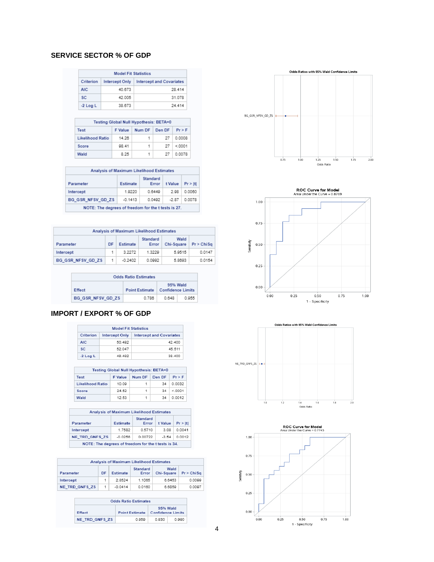### **SERVICE SECTOR % OF GDP**

| <b>Model Fit Statistics</b> |                |                                 |  |  |
|-----------------------------|----------------|---------------------------------|--|--|
| Criterion                   | Intercept Only | <b>Intercept and Covariates</b> |  |  |
| AIC:                        | 40.673         | 28.414                          |  |  |
| SC.                         | 42.005         | 31.078                          |  |  |
| $-2$ Log L                  | 38.673         | 24 4 14                         |  |  |

| Testing Global Null Hypothesis: BETA=0        |       |    |    |        |  |  |  |
|-----------------------------------------------|-------|----|----|--------|--|--|--|
| Num DF<br>Den DF<br>Pr > F<br>Test<br>F Value |       |    |    |        |  |  |  |
| <b>Likelihood Ratio</b>                       | 14.26 | 1. | 27 | 0.0008 |  |  |  |
| Score                                         | 98.41 | 1. | 27 | < 0001 |  |  |  |
| Wald                                          | 8.25  | 1. | 27 | 0.0078 |  |  |  |

| Analysis of Maximum Likelihood Estimates                          |        |        |      |        |  |  |  |  |
|-------------------------------------------------------------------|--------|--------|------|--------|--|--|--|--|
| Standard<br>Estimate<br>t Value<br>Pr >  t <br>Parameter<br>Error |        |        |      |        |  |  |  |  |
| Intercept                                                         | 1.9220 | 0.6449 | 2.98 | 0.0060 |  |  |  |  |
| BG GSR NFSV GD ZS<br>$-0.1413$<br>0.0492<br>0.0078<br>$-2.87$     |        |        |      |        |  |  |  |  |
| NOTE: The degrees of freedom for the t tests is 27.               |        |        |      |        |  |  |  |  |

| Analysis of Maximum Likelihood Estimates |    |           |                   |                    |            |  |
|------------------------------------------|----|-----------|-------------------|--------------------|------------|--|
| Parameter                                | DF | Estimate  | Standard<br>Error | Wald<br>Chi-Square | Pr > ChiSa |  |
| Intercept                                | 1. | 3.2272    | 1.3229            | 5.9515             | 0.0147     |  |
| BG GSR NFSV GD ZS                        | -1 | $-0.2402$ | 0.0992            | 5.8693             | 0.0154     |  |

| <b>Odds Ratio Estimates</b> |                                                               |       |       |  |  |
|-----------------------------|---------------------------------------------------------------|-------|-------|--|--|
| Effect                      | 95% Wald<br><b>Confidence Limits</b><br><b>Point Estimate</b> |       |       |  |  |
| BG GSR NFSV GD ZS           | 0.788                                                         | 0.648 | 0.955 |  |  |

### **IMPORT / EXPORT % OF GDP**

| <b>Model Fit Statistics</b>                                           |        |        |  |  |
|-----------------------------------------------------------------------|--------|--------|--|--|
| Criterion<br><b>Intercept and Covariates</b><br><b>Intercept Only</b> |        |        |  |  |
| AIC.                                                                  | 50.492 | 42.400 |  |  |
| <b>SC</b>                                                             | 52.047 | 45.511 |  |  |
| $-2$ Log L                                                            | 48.492 | 38.400 |  |  |

| Testing Global Null Hypothesis: BETA=0       |       |   |    |        |  |  |  |
|----------------------------------------------|-------|---|----|--------|--|--|--|
| Num DF Den DF<br>$Pr$ > F<br>Test<br>F Value |       |   |    |        |  |  |  |
| <b>Likelihood Ratio</b>                      | 10.09 | 1 | 34 | 0.0032 |  |  |  |
| Score                                        | 24.52 | 1 | 34 | < 0001 |  |  |  |
| Wald                                         | 12.53 | 1 | 24 | 0.0012 |  |  |  |

|                                                     |           | <b>Analysis of Maximum Likelihood Estimates</b> |         |         |  |  |  |
|-----------------------------------------------------|-----------|-------------------------------------------------|---------|---------|--|--|--|
| Parameter                                           | Estimate  | Standard<br>Error                               | t Value | Pr >  t |  |  |  |
| Intercept                                           | 1.7582    | 0.5710                                          | 3.08    | 0.0041  |  |  |  |
| <b>NE TRD GNFS ZS</b>                               | $-0.0256$ | 0.00722                                         | $-3.54$ | 0.0012  |  |  |  |
| NOTE: The degrees of freedom for the t tests is 34. |           |                                                 |         |         |  |  |  |

|                       |    |           | Analysis of Maximum Likelihood Estimates |                    |            |
|-----------------------|----|-----------|------------------------------------------|--------------------|------------|
| Parameter             | DF | Estimate  | Standard<br>Error                        | Wald<br>Chi-Square | Pr > ChiSa |
| Intercept             | 1  | 2.8524    | 1.1065                                   | 6.6453             | 0.0099     |
| <b>NE TRD GNFS ZS</b> | 1  | $-0.0414$ | 0.0160                                   | 6.6859             | 0.0097     |

| <b>Odds Ratio Estimates</b> |                       |                               |       |  |  |
|-----------------------------|-----------------------|-------------------------------|-------|--|--|
| Effect                      | <b>Point Estimate</b> | 95% Wald<br>Confidence Limits |       |  |  |
| <b>NE TRD GNFS ZS</b>       | 0.959                 | 0.930                         | 0.990 |  |  |





 $0.50$ 

1 - Specificity

 $0.75$ 

 $1.00$ 



 $0.25$ 

 $0.00$